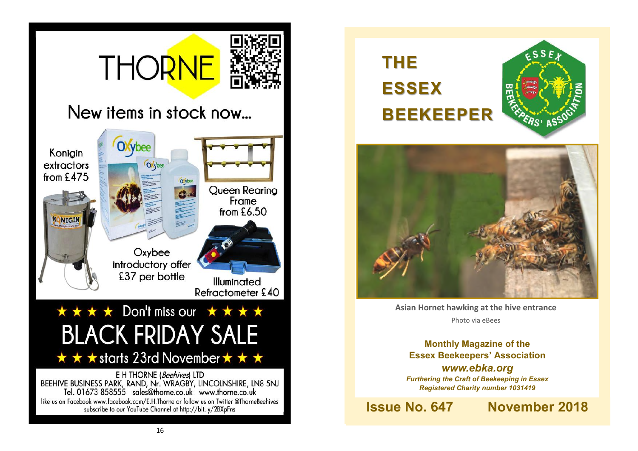# **THORNE**



## New items in stock now...





**Asian Hornet hawking at the hive entrance**  Photo via eBees

**Monthly Magazine of the Essex Beekeepers' Association** *www.ebka.org Furthering the Craft of Beekeeping in Essex Registered Charity number 1031419*

**Issue No. 647 November 2018**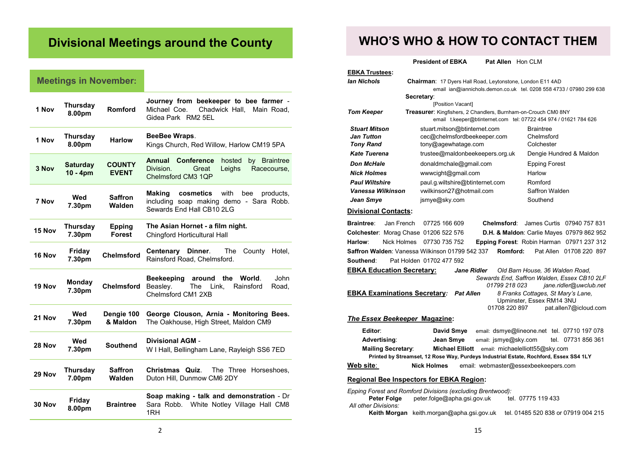## **Divisional Meetings around the County**

## **Meetings in November:**

| 1 Nov         | <b>Thursday</b><br>8.00pm   | Romford                        | Journey from beekeeper to bee farmer -<br>Michael Coe.<br>Chadwick Hall,<br>Main Road,<br>Gidea Park RM2 5EL                   |  |
|---------------|-----------------------------|--------------------------------|--------------------------------------------------------------------------------------------------------------------------------|--|
| 1 Nov         | Thursday<br>8.00pm          | <b>Harlow</b>                  | BeeBee Wraps.<br>Kings Church, Red Willow, Harlow CM19 5PA                                                                     |  |
| 3 Nov         | <b>Saturday</b><br>10 - 4pm | <b>COUNTY</b><br><b>EVENT</b>  | <b>Conference</b><br>Annual<br>hosted<br>by Braintree<br>Division.<br>Great<br>Leighs<br>Racecourse,<br>Chelmsford CM3 1QP     |  |
| 7 Nov         | Wed<br>7.30pm               | <b>Saffron</b><br>Walden       | with<br><b>Making</b><br>cosmetics<br>products.<br>bee<br>including soap making demo - Sara Robb.<br>Sewards End Hall CB10 2LG |  |
| 15 Nov        | Thursday<br>7.30pm          | <b>Epping</b><br><b>Forest</b> | The Asian Hornet - a film night.<br>Chingford Horticultural Hall                                                               |  |
| 16 Nov        | Friday<br>7.30pm            | <b>Chelmsford</b>              | Dinner.<br>Centenary<br>The<br>County<br>Hotel,<br>Rainsford Road, Chelmsford.                                                 |  |
| 19 Nov        | Monday<br>7.30pm            | <b>Chelmsford</b>              | the<br>World.<br>John<br><b>Beekeeping</b><br>around<br>The<br>Link,<br>Rainsford<br>Beasley.<br>Road,<br>Chelmsford CM1 2XB   |  |
| 21 Nov        | Wed<br>7.30pm               | Dengie 100<br>& Maldon         | George Clouson, Arnia - Monitoring Bees.<br>The Oakhouse, High Street, Maldon CM9                                              |  |
| <b>28 Nov</b> | Wed<br>7.30pm               | <b>Southend</b>                | <b>Divisional AGM -</b><br>W I Hall, Bellingham Lane, Rayleigh SS6 7ED                                                         |  |
| 29 Nov        | Thursday<br>7.00pm          | <b>Saffron</b><br>Walden       | The Three Horseshoes,<br>Christmas Quiz.<br>Duton Hill, Dunmow CM6 2DY                                                         |  |
| 30 Nov        | Friday<br>8.00pm            | <b>Braintree</b>               | Soap making - talk and demonstration - Dr<br>Sara Robb.<br>White Notley Village Hall CM8<br>1RH                                |  |

## **WHO'S WHO & HOW TO CONTACT THEM**

**President of EBKA** Pat Allen Hon CLM

| <b>EBKA Trustees:</b>                                    |                                                                                       |                                                                     |                                                                 |                                           |  |
|----------------------------------------------------------|---------------------------------------------------------------------------------------|---------------------------------------------------------------------|-----------------------------------------------------------------|-------------------------------------------|--|
| lan Nichols                                              | <b>Chairman: 17 Dyers Hall Road, Leytonstone, London E11 4AD</b>                      |                                                                     |                                                                 |                                           |  |
|                                                          |                                                                                       | email ian@iannichols.demon.co.uk tel. 0208 558 4733 / 07980 299 638 |                                                                 |                                           |  |
|                                                          | Secretary:<br>[Position Vacant]                                                       |                                                                     |                                                                 |                                           |  |
| <b>Tom Keeper</b>                                        | Treasurer: Kingfishers, 2 Chandlers, Burnham-on-Crouch CM0 8NY                        |                                                                     |                                                                 |                                           |  |
|                                                          |                                                                                       | email t.keeper@btinternet.com tel: 07722 454 974 / 01621 784 626    |                                                                 |                                           |  |
| <b>Stuart Mitson</b>                                     | stuart.mitson@btinternet.com                                                          |                                                                     | <b>Braintree</b>                                                |                                           |  |
| <b>Jan Tutton</b>                                        | cec@chelmsfordbeekeeper.com                                                           |                                                                     | Chelmsford                                                      |                                           |  |
| <b>Tony Rand</b>                                         | tony@agewhatage.com                                                                   |                                                                     | Colchester                                                      |                                           |  |
| <b>Kate Tuerena</b>                                      | trustee@maldonbeekeepers.org.uk                                                       |                                                                     | Dengie Hundred & Maldon                                         |                                           |  |
| <b>Don McHale</b>                                        | donaldmchale@gmail.com                                                                |                                                                     | <b>Epping Forest</b>                                            |                                           |  |
| <b>Nick Holmes</b>                                       |                                                                                       | www.cight@gmail.com                                                 |                                                                 | Harlow                                    |  |
| <b>Paul Wiltshire</b>                                    | paul.g.wiltshire@btinternet.com                                                       |                                                                     | Romford                                                         |                                           |  |
| Vanessa Wilkinson                                        | vwilkinson27@hotmail.com                                                              |                                                                     | Saffron Walden                                                  |                                           |  |
| Jean Smye                                                | jsmye@sky.com                                                                         |                                                                     | Southend                                                        |                                           |  |
| <b>Divisional Contacts:</b>                              |                                                                                       |                                                                     |                                                                 |                                           |  |
| Jan French<br><b>Braintree:</b>                          | 07725 166 609                                                                         | Chelmsford:                                                         |                                                                 | James Curtis 07940 757 831                |  |
| Colchester: Morag Chase 01206 522 576                    |                                                                                       |                                                                     |                                                                 | D.H. & Maldon: Carlie Mayes 07979 862 952 |  |
| Nick Holmes<br>Harlow:                                   | 07730 735 752                                                                         | Epping Forest: Robin Harman 07971 237 312                           |                                                                 |                                           |  |
| Saffron Walden: Vanessa Wilkinson 01799 542 337 Romford: |                                                                                       |                                                                     |                                                                 | Pat Allen 01708 220 897                   |  |
| Southend:                                                | Pat Holden 01702 477 592                                                              |                                                                     |                                                                 |                                           |  |
| <b>EBKA Education Secretary:</b>                         |                                                                                       | Jane Ridler                                                         | Old Barn House, 36 Walden Road,                                 |                                           |  |
|                                                          |                                                                                       | Sewards End, Saffron Walden, Essex CB10 2LF                         |                                                                 |                                           |  |
|                                                          |                                                                                       | 01799 218 023                                                       |                                                                 | jane.ridler@uwclub.net                    |  |
| <b>EBKA Examinations Secretary:</b>                      | <b>Pat Allen</b>                                                                      |                                                                     | 8 Franks Cottages, St Mary's Lane,<br>Upminster, Essex RM14 3NU |                                           |  |
|                                                          |                                                                                       | 01708 220 897                                                       |                                                                 | pat.allen7@icloud.com                     |  |
| <b>The Essex Beekeeper Magazine:</b>                     |                                                                                       |                                                                     |                                                                 |                                           |  |
| Editor:                                                  | David Smye                                                                            | email: dsmye@lineone.net tel. 07710 197 078                         |                                                                 |                                           |  |
| Advertising:                                             | Jean Smye                                                                             | email: jsmye@sky.com                                                |                                                                 | tel. 07731 856 361                        |  |
| <b>Mailing Secretary:</b>                                | <b>Michael Elliott</b>                                                                |                                                                     | email: michaelelliott55@sky.com                                 |                                           |  |
|                                                          | Printed by Streamset, 12 Rose Way, Purdeys Industrial Estate, Rochford, Essex SS4 1LY |                                                                     |                                                                 |                                           |  |
| Web site:                                                | Nick Holmes email: webmaster@essexbeekeepers.com                                      |                                                                     |                                                                 |                                           |  |
| <b>Regional Bee Inspectors for EBKA Region:</b>          |                                                                                       |                                                                     |                                                                 |                                           |  |
|                                                          |                                                                                       |                                                                     |                                                                 |                                           |  |

*Epping Forest and Romford Divisions (excluding Brentwood):* Peter Folge peter.folge@apha.gsi.gov.uk tel. 07775 119 433 *All other Divisions:* **Keith Morgan** keith.morgan@apha.gsi.gov.uk tel. 01485 520 838 or 07919 004 215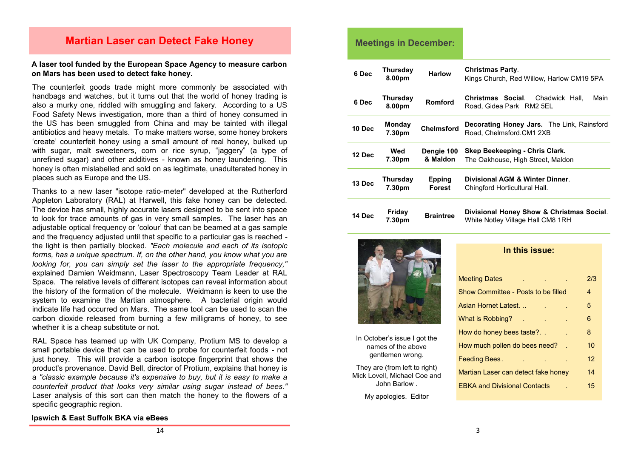### **Martian Laser can Detect Fake Honey**

#### **A laser tool funded by the European Space Agency to measure carbon on Mars has been used to detect fake honey.**

The counterfeit goods trade might more commonly be associated with handbags and watches, but it turns out that the world of honey trading is also a murky one, riddled with smuggling and fakery. According to a US Food Safety News investigation, more than a third of honey consumed in the US has been smuggled from China and may be tainted with illegal antibiotics and heavy metals. To make matters worse, some honey brokers 'create' counterfeit honey using a small amount of real honey, bulked up with sugar, malt sweeteners, corn or rice syrup, "jaggery" (a type of unrefined sugar) and other additives - known as honey laundering. This honey is often mislabelled and sold on as legitimate, unadulterated honey in places such as Europe and the US.

Thanks to a new laser "isotope ratio-meter" developed at the Rutherford Appleton Laboratory (RAL) at Harwell, this fake honey can be detected. The device has small, highly accurate lasers designed to be sent into space to look for trace amounts of gas in very small samples. The laser has an adjustable optical frequency or 'colour' that can be beamed at a gas sample and the frequency adjusted until that specific to a particular gas is reached the light is then partially blocked*. "Each molecule and each of its isotopic forms, has a unique spectrum. If, on the other hand, you know what you are looking for, you can simply set the laser to the appropriate frequency,"*  explained Damien Weidmann, Laser Spectroscopy Team Leader at RAL Space. The relative levels of different isotopes can reveal information about the history of the formation of the molecule. Weidmann is keen to use the system to examine the Martian atmosphere. A bacterial origin would indicate life had occurred on Mars. The same tool can be used to scan the carbon dioxide released from burning a few milligrams of honey, to see whether it is a cheap substitute or not.

RAL Space has teamed up with UK Company, Protium MS to develop a small portable device that can be used to probe for counterfeit foods - not just honey. This will provide a carbon isotope fingerprint that shows the product's provenance*.* David Bell, director of Protium, explains that honey is a *"classic example because it's expensive to buy, but it is easy to make a counterfeit product that looks very similar using sugar instead of bees."*  Laser analysis of this sort can then match the honey to the flowers of a specific geographic region.

#### **Meetings in December:**

| 6 Dec  | <b>Thursday</b><br>8.00pm | <b>Harlow</b>           | <b>Christmas Party.</b><br>Kings Church, Red Willow, Harlow CM19 5PA           |  |
|--------|---------------------------|-------------------------|--------------------------------------------------------------------------------|--|
| 6 Dec  | Thursday<br>8.00pm        | Romford                 | Christmas Social.<br>Chadwick Hall,<br>Main<br>Road, Gidea Park RM2 5EL        |  |
| 10 Dec | <b>Monday</b><br>7.30pm   | <b>Chelmsford</b>       | Decorating Honey Jars. The Link, Rainsford<br>Road, Chelmsford.CM1 2XB         |  |
| 12 Dec | Wed<br>7.30pm             | Dengie 100<br>& Maldon  | Skep Beekeeping - Chris Clark.<br>The Oakhouse, High Street, Maldon            |  |
| 13 Dec | Thursday<br>7.30pm        | <b>Epping</b><br>Forest | Divisional AGM & Winter Dinner<br>Chingford Horticultural Hall.                |  |
| 14 Dec | Friday<br>7.30pm          | <b>Braintree</b>        | Divisional Honey Show & Christmas Social.<br>White Notley Village Hall CM8 1RH |  |



In October's issue I got the names of the above gentlemen wrong.

They are (from left to right) Mick Lovell, Michael Coe and John Barlow .

My apologies. Editor

#### **In this issue:**

| <b>Meeting Dates</b>                |  | 2/3 |
|-------------------------------------|--|-----|
| Show Committee - Posts to be filled |  | 4   |
| Asian Hornet Latest.                |  | 5   |
| What is Robbing?                    |  | 6   |
| How do honey bees taste?            |  | 8   |
| How much pollen do bees need?       |  | 10  |
| Feeding Bees.                       |  | 12  |
| Martian Laser can detect fake honey |  | 14  |
| <b>EBKA and Divisional Contacts</b> |  | 15  |
|                                     |  |     |

#### **Ipswich & East Suffolk BKA via eBees**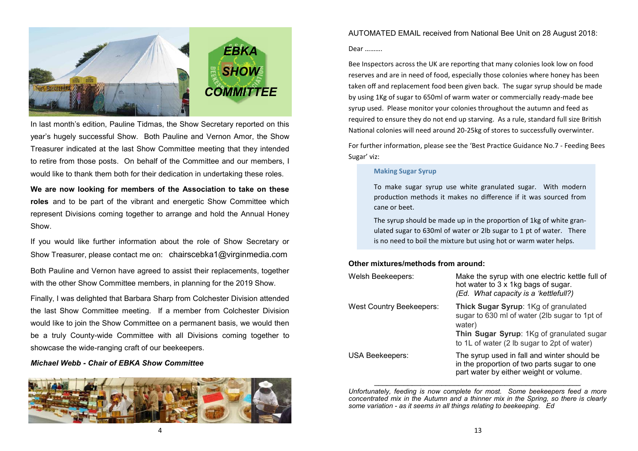

In last month's edition, Pauline Tidmas, the Show Secretary reported on this year's hugely successful Show. Both Pauline and Vernon Amor, the Show Treasurer indicated at the last Show Committee meeting that they intended to retire from those posts. On behalf of the Committee and our members, I would like to thank them both for their dedication in undertaking these roles.

**We are now looking for members of the Association to take on these roles** and to be part of the vibrant and energetic Show Committee which represent Divisions coming together to arrange and hold the Annual Honey Show.

If you would like further information about the role of Show Secretary or Show Treasurer, please contact me on: [chairscebka1@virginmedia.com](mailto:chairscebka1@virginmedia.com) Both Pauline and Vernon have agreed to assist their replacements, together with the other Show Committee members, in planning for the 2019 Show.

Finally, I was delighted that Barbara Sharp from Colchester Division attended the last Show Committee meeting. If a member from Colchester Division would like to join the Show Committee on a permanent basis, we would then be a truly County-wide Committee with all Divisions coming together to showcase the wide-ranging craft of our beekeepers.

#### *Michael Webb - Chair of EBKA Show Committee*



4

AUTOMATED EMAIL received from National Bee Unit on 28 August 2018:

#### Dear ……….

Bee Inspectors across the UK are reporting that many colonies look low on food reserves and are in need of food, especially those colonies where honey has been taken off and replacement food been given back. The sugar syrup should be made by using 1Kg of sugar to 650ml of warm water or commercially ready-made bee syrup used. Please monitor your colonies throughout the autumn and feed as required to ensure they do not end up starving. As a rule, standard full size British National colonies will need around 20-25kg of stores to successfully overwinter.

For further information, please see the 'Best Practice Guidance No.7 - Feeding Bees Sugar' viz:

#### **Making Sugar Syrup**

To make sugar syrup use white granulated sugar. With modern production methods it makes no difference if it was sourced from cane or beet.

The syrup should be made up in the proportion of 1kg of white granulated sugar to 630ml of water or 2lb sugar to 1 pt of water. There is no need to boil the mixture but using hot or warm water helps.

#### **Other mixtures/methods from around:**

| Welsh Beekeepers:               | Make the syrup with one electric kettle full of<br>hot water to 3 x 1kg bags of sugar.<br>(Ed. What capacity is a 'kettlefull?)                                                             |
|---------------------------------|---------------------------------------------------------------------------------------------------------------------------------------------------------------------------------------------|
| <b>West Country Beekeepers:</b> | Thick Sugar Syrup: 1Kg of granulated<br>sugar to 630 ml of water (2lb sugar to 1pt of<br>water)<br>Thin Sugar Syrup: 1Kg of granulated sugar<br>to 1L of water (2 lb sugar to 2pt of water) |
| USA Beekeepers:                 | The syrup used in fall and winter should be<br>in the proportion of two parts sugar to one<br>part water by either weight or volume.                                                        |

*Unfortunately, feeding is now complete for most. Some beekeepers feed a more concentrated mix in the Autumn and a thinner mix in the Spring, so there is clearly some variation - as it seems in all things relating to beekeeping. Ed*

 $\_$  , and the set of the set of the set of the set of the set of the set of the set of the set of the set of the set of the set of the set of the set of the set of the set of the set of the set of the set of the set of th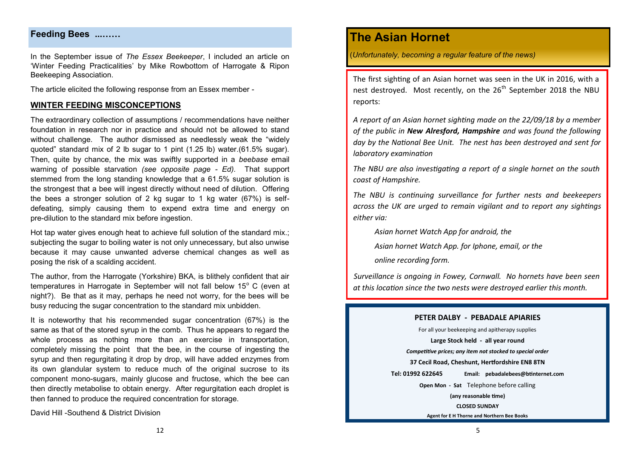#### **Feeding Bees ...……**

In the September issue of *The Essex Beekeeper*, I included an article on 'Winter Feeding Practicalities' by Mike Rowbottom of Harrogate & Ripon Beekeeping Association.

The article elicited the following response from an Essex member -

#### **WINTER FEEDING MISCONCEPTIONS**

The extraordinary collection of assumptions / recommendations have neither foundation in research nor in practice and should not be allowed to stand without challenge. The author dismissed as needlessly weak the "widely quoted" standard mix of 2 lb sugar to 1 pint (1.25 lb) water.(61.5% sugar). Then, quite by chance, the mix was swiftly supported in a *beebase* email warning of possible starvation *(see opposite page - Ed).* That support stemmed from the long standing knowledge that a 61.5% sugar solution is the strongest that a bee will ingest directly without need of dilution. Offering the bees a stronger solution of 2 kg sugar to 1 kg water (67%) is selfdefeating, simply causing them to expend extra time and energy on pre-dilution to the standard mix before ingestion.

Hot tap water gives enough heat to achieve full solution of the standard mix.: subjecting the sugar to boiling water is not only unnecessary, but also unwise because it may cause unwanted adverse chemical changes as well as posing the risk of a scalding accident.

The author, from the Harrogate (Yorkshire) BKA, is blithely confident that air temperatures in Harrogate in September will not fall below  $15^{\circ}$  C (even at night?). Be that as it may, perhaps he need not worry, for the bees will be busy reducing the sugar concentration to the standard mix unbidden.

It is noteworthy that his recommended sugar concentration (67%) is the same as that of the stored syrup in the comb. Thus he appears to regard the whole process as nothing more than an exercise in transportation, completely missing the point that the bee, in the course of ingesting the syrup and then regurgitating it drop by drop, will have added enzymes from its own glandular system to reduce much of the original sucrose to its component mono-sugars, mainly glucose and fructose, which the bee can then directly metabolise to obtain energy. After regurgitation each droplet is then fanned to produce the required concentration for storage.

David Hill -Southend & District Division

## **The Asian Hornet**

(*Unfortunately, becoming a regular feature of the news)*

The first sighting of an Asian hornet was seen in the UK in 2016, with a nest destroved. Most recently, on the 26<sup>th</sup> September 2018 the NBU reports:

*A report of an Asian hornet sighting made on the 22/09/18 by a member of the public in New Alresford, Hampshire and was found the following day by the National Bee Unit. The nest has been destroyed and sent for laboratory examination* 

*The NBU are also investigating a report of a single hornet on the south coast of Hampshire.* 

*The NBU is continuing surveillance for further nests and beekeepers across the UK are urged to remain vigilant and to report any sightings either via:*

*[Asian hornet Watch App for android, t](https://play.google.com/store/apps/details?id=uk.ac.ceh.hornets)he* 

*[Asian hornet Watch App. for Iphone, e](https://itunes.apple.com/gb/app/asian-hornet-watch/id1161238813)mail, or the* 

*[online recording form.](http://www.brc.ac.uk/risc/alert.php?species=asian_hornet)* 

*Surveillance is ongoing in Fowey, Cornwall. No hornets have been seen at this location since the two nests were destroyed earlier this month.* 

#### **PETER DALBY - PEBADALE APIARIES**

For all your beekeeping and apitherapy supplies **Large Stock held - all year round** *Competitive prices; any item not stocked to special order* **37 Cecil Road, Cheshunt, Hertfordshire EN8 8TN Tel: 01992 622645 Email: pebadalebees@btinternet.com Open Mon - Sat** Telephone before calling **(any reasonable time) CLOSED SUNDAY Agent for E H Thorne and Northern Bee Books**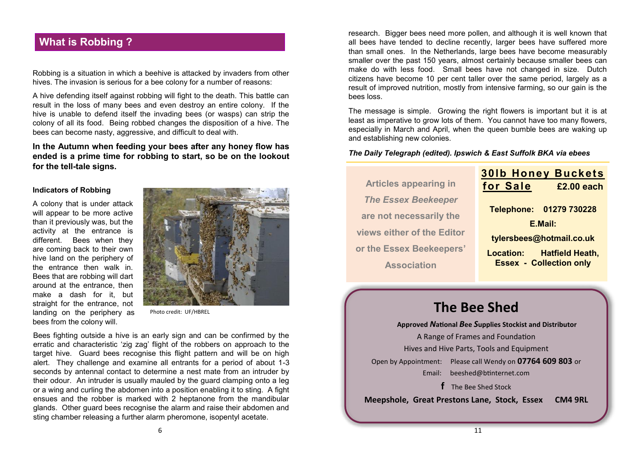## **What is Robbing ?**

Robbing is a situation in which a beehive is attacked by invaders from other hives. The invasion is serious for a bee colony for a number of reasons:

A hive defending itself against robbing will fight to the death. This battle can result in the loss of many bees and even destroy an entire colony. If the hive is unable to defend itself the invading bees (or wasps) can strip the colony of all its food. Being robbed changes the disposition of a hive. The bees can become nasty, aggressive, and difficult to deal with.

**In the Autumn when feeding your bees after any honey flow has ended is a prime time for robbing to start, so be on the lookout for the tell-tale signs.**

#### **Indicators of Robbing**

A colony that is under attack will appear to be more active than it previously was, but the activity at the entrance is different. Bees when they are coming back to their own hive land on the periphery of the entrance then walk in. Bees that are robbing will dart around at the entrance, then make a dash for it, but straight for the entrance, not landing on the periphery as bees from the colony will.



Photo credit: UF/HBREL

Bees fighting outside a hive is an early sign and can be confirmed by the erratic and characteristic 'zig zag' flight of the robbers on approach to the target hive. Guard bees recognise this flight pattern and will be on high alert. They challenge and examine all entrants for a period of about 1-3 seconds by antennal contact to determine a nest mate from an intruder by their odour. An intruder is usually mauled by the guard clamping onto a leg or a wing and curling the abdomen into a position enabling it to sting. A fight ensues and the robber is marked with 2 heptanone from the mandibular glands. Other guard bees recognise the alarm and raise their abdomen and sting chamber releasing a further alarm pheromone, isopentyl acetate.

research. Bigger bees need more pollen, and although it is well known that all bees have tended to decline recently, larger bees have suffered more than small ones. In the Netherlands, large bees have become measurably smaller over the past 150 years, almost certainly because smaller bees can make do with less food. Small bees have not changed in size. Dutch citizens have become 10 per cent taller over the same period, largely as a result of improved nutrition, mostly from intensive farming, so our gain is the bees loss.

The message is simple. Growing the right flowers is important but it is at least as imperative to grow lots of them. You cannot have too many flowers, especially in March and April, when the queen bumble bees are waking up and establishing new colonies.

*The Daily Telegraph (edited). Ipswich & East Suffolk BKA via ebees*

|                              | <b>301b Honey Buckets</b>      |                        |
|------------------------------|--------------------------------|------------------------|
| <b>Articles appearing in</b> | for Sale                       | £2.00 each             |
| <b>The Essex Beekeeper</b>   |                                |                        |
| are not necessarily the      | Telephone: 01279 730228        |                        |
|                              | E.Mail:                        |                        |
| views either of the Editor   | tylersbees@hotmail.co.uk       |                        |
| or the Essex Beekeepers'     |                                |                        |
|                              | <b>Location:</b>               | <b>Hatfield Heath,</b> |
| <b>Association</b>           | <b>Essex - Collection only</b> |                        |

## **The Bee Shed**

**Approved** *N***ational** *B***ee** *S***upplies Stockist and Distributor** A Range of Frames and Foundation Hives and Hive Parts, Tools and Equipment Open by Appointment: Please call Wendy on **07764 609 803** or Email: [beeshed@btinternet.com](mailto:beeshed@btinternet.com)  **f** The Bee Shed Stock

**Meepshole, Great Prestons Lane, Stock, Essex CM4 9RL**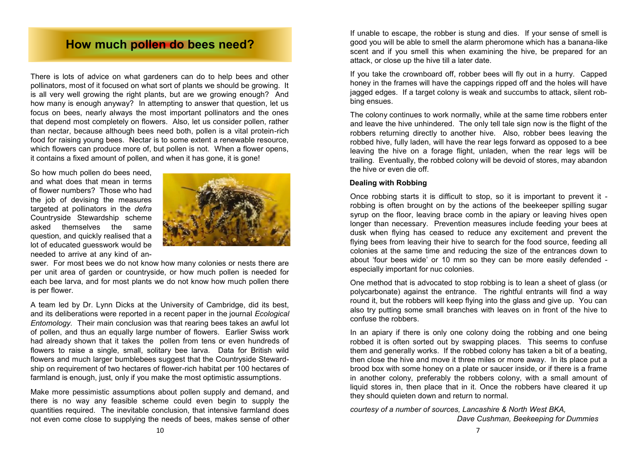## **How much pollen do bees need?**

There is lots of advice on what gardeners can do to help bees and other pollinators, most of it focused on what sort of plants we should be growing. It is all very well growing the right plants, but are we growing enough? And how many is enough anyway? In attempting to answer that question, let us focus on bees, nearly always the most important pollinators and the ones that depend most completely on flowers. Also, let us consider pollen, rather than nectar, because although bees need both, pollen is a vital protein-rich food for raising young bees. Nectar is to some extent a renewable resource, which flowers can produce more of, but pollen is not. When a flower opens, it contains a fixed amount of pollen, and when it has gone, it is gone!

So how much pollen do bees need, and what does that mean in terms of flower numbers? Those who had the job of devising the measures targeted at pollinators in the *defra* Countryside Stewardship scheme asked themselves the same question, and quickly realised that a lot of educated guesswork would be needed to arrive at any kind of an-



swer. For most bees we do not know how many colonies or nests there are per unit area of garden or countryside, or how much pollen is needed for each bee larva, and for most plants we do not know how much pollen there is per flower.

A team led by Dr. Lynn Dicks at the University of Cambridge, did its best, and its deliberations were reported in a recent paper in the journal *Ecological Entomology.* Their main conclusion was that rearing bees takes an awful lot of pollen, and thus an equally large number of flowers. Earlier Swiss work had already shown that it takes the pollen from tens or even hundreds of flowers to raise a single, small, solitary bee larva. Data for British wild flowers and much larger bumblebees suggest that the Countryside Stewardship on requirement of two hectares of flower-rich habitat per 100 hectares of farmland is enough, just, only if you make the most optimistic assumptions.

Make more pessimistic assumptions about pollen supply and demand, and there is no way any feasible scheme could even begin to supply the quantities required. The inevitable conclusion, that intensive farmland does not even come close to supplying the needs of bees, makes sense of other

If unable to escape, the robber is stung and dies. If your sense of smell is good you will be able to smell the alarm pheromone which has a banana-like scent and if you smell this when examining the hive, be prepared for an attack, or close up the hive till a later date.

If you take the crownboard off, robber bees will fly out in a hurry. Capped honey in the frames will have the cappings ripped off and the holes will have jagged edges. If a target colony is weak and succumbs to attack, silent robbing ensues.

The colony continues to work normally, while at the same time robbers enter and leave the hive unhindered. The only tell tale sign now is the flight of the robbers returning directly to another hive. Also, robber bees leaving the robbed hive, fully laden, will have the rear legs forward as opposed to a bee leaving the hive on a forage flight, unladen, when the rear legs will be trailing. Eventually, the robbed colony will be devoid of stores, may abandon the hive or even die off.

#### **Dealing with Robbing**

Once robbing starts it is difficult to stop, so it is important to prevent it robbing is often brought on by the actions of the beekeeper spilling sugar syrup on the floor, leaving brace comb in the apiary or leaving hives open longer than necessary. Prevention measures include feeding your bees at dusk when flying has ceased to reduce any excitement and prevent the flying bees from leaving their hive to search for the food source, feeding all colonies at the same time and reducing the size of the entrances down to about 'four bees wide' or 10 mm so they can be more easily defended especially important for nuc colonies.

One method that is advocated to stop robbing is to lean a sheet of glass (or polycarbonate) against the entrance. The rightful entrants will find a way round it, but the robbers will keep flying into the glass and give up. You can also try putting some small branches with leaves on in front of the hive to confuse the robbers.

In an apiary if there is only one colony doing the robbing and one being robbed it is often sorted out by swapping places. This seems to confuse them and generally works. If the robbed colony has taken a bit of a beating, then close the hive and move it three miles or more away. In its place put a brood box with some honey on a plate or saucer inside, or if there is a frame in another colony, preferably the robbers colony, with a small amount of liquid stores in, then place that in it. Once the robbers have cleared it up they should quieten down and return to normal.

*courtesy of a number of sources, Lancashire & North West BKA,*

*Dave Cushman, Beekeeping for Dummies*